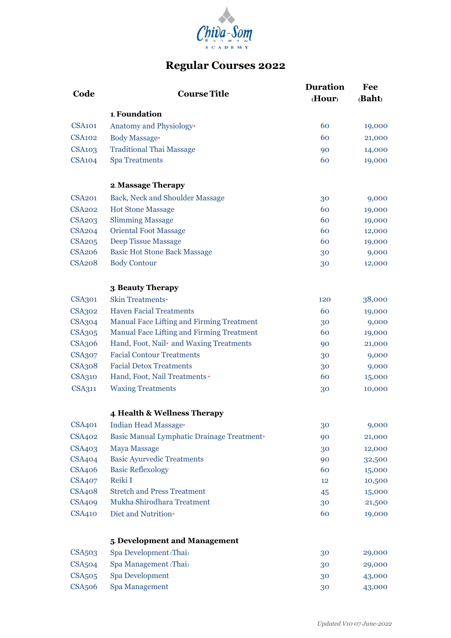

# **Regular Courses 2022**

|                    |                                            | <b>Duration</b> | Fee    |
|--------------------|--------------------------------------------|-----------------|--------|
| Code               | <b>Course Title</b>                        | (Hour)          | (Baht) |
|                    | 1. Foundation                              |                 |        |
| <b>CSA101</b>      | Anatomy and Physiology*                    | 60              | 19,000 |
| <b>CSA102</b>      | <b>Body Massage*</b>                       | 60              | 21,000 |
| <b>CSA103</b>      | <b>Traditional Thai Massage</b>            | 90              | 14,000 |
| <b>CSA104</b>      | <b>Spa Treatments</b>                      | 60              | 19,000 |
|                    | 2. Massage Therapy                         |                 |        |
| <b>CSA201</b>      | Back, Neck and Shoulder Massage            | 30              | 9,000  |
| <b>CSA202</b>      | <b>Hot Stone Massage</b>                   | 60              | 19,000 |
| <b>CSA203</b>      | <b>Slimming Massage</b>                    | 60              | 19,000 |
| <b>CSA204</b>      | <b>Oriental Foot Massage</b>               | 60              | 12,000 |
| <b>CSA205</b>      | <b>Deep Tissue Massage</b>                 | 60              | 19,000 |
| <b>CSA206</b>      | <b>Basic Hot Stone Back Massage</b>        | 30              | 9,000  |
| <b>CSA208</b>      | <b>Body Contour</b>                        | 30              | 12,000 |
|                    | 3. Beauty Therapy                          |                 |        |
| <b>CSA301</b>      | <b>Skin Treatments*</b>                    | 120             | 38,000 |
| <b>CSA302</b>      | <b>Haven Facial Treatments</b>             | 60              | 19,000 |
| <b>CSA304</b>      | Manual Face Lifting and Firming Treatment  | 30              | 9,000  |
| <b>CSA305</b>      | Manual Face Lifting and Firming Treatment  | 60              | 19,000 |
| <b>CSA306</b>      | Hand, Foot, Nail* and Waxing Treatments    | 90              | 21,000 |
| <b>CSA307</b>      | <b>Facial Contour Treatments</b>           | 30              | 9,000  |
| <b>CSA308</b>      | <b>Facial Detox Treatments</b>             | 30              | 9,000  |
| CSA310             | Hand, Foot, Nail Treatments *              | 60              | 15,000 |
| <b>CSA311</b>      | <b>Waxing Treatments</b>                   | 30              | 10,000 |
|                    | 4. Health & Wellness Therapy               |                 |        |
| <b>CSA401</b>      | Indian Head Massage*                       | 30              | 9,000  |
| <b>CSA402</b>      | Basic Manual Lymphatic Drainage Treatment* | 90              | 21,000 |
| <b>CSA403</b>      | <b>Maya Massage</b>                        | 30              | 12,000 |
| <b>CSA404</b>      | <b>Basic Ayurvedic Treatments</b>          | 90              | 32,500 |
| <b>CSA406</b>      | <b>Basic Reflexology</b>                   | 60              | 15,000 |
| <b>CSA407</b>      | Reiki I                                    | 12              | 10,500 |
| <b>CSA408</b>      | <b>Stretch and Press Treatment</b>         | 45              | 15,000 |
| <b>CSA409</b>      | Mukha-Shirodhara Treatment                 | 30              | 21,500 |
| <b>CSA410</b>      | Diet and Nutrition*                        | 60              | 19,000 |
|                    | 5. Development and Management              |                 |        |
| <b>CSA503</b>      | Spa Development (Thai)                     | 30              | 29,000 |
| CSA <sub>504</sub> | Spa Management (Thai)                      | 30              | 29,000 |
| <b>CSA505</b>      | Spa Development                            | 30              | 43,000 |
| <b>CSA506</b>      | Spa Management                             | 30              | 43,000 |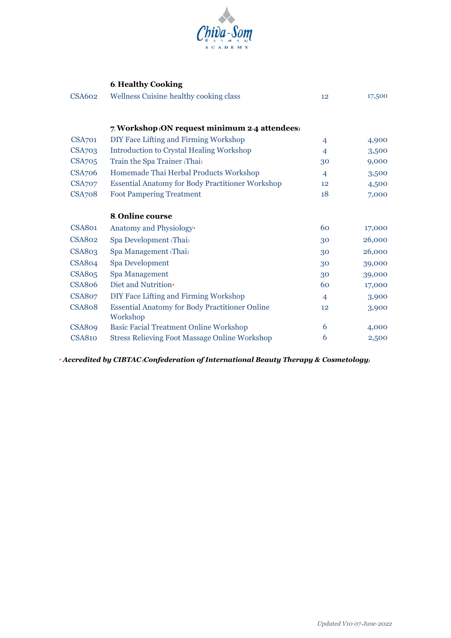

#### **6. Healthy Cooking**

| 12             | 17,500 |
|----------------|--------|
|                |        |
|                |        |
| $\overline{4}$ | 4,900  |
| $\overline{4}$ | 3,500  |
| 30             | 9,000  |
| $\overline{4}$ | 3,500  |
| 12             | 4,500  |
| 18             | 7,000  |
|                |        |
|                |        |
| 60             | 17,000 |
| 30             | 26,000 |
| 30             | 26,000 |
| 30             | 39,000 |
| 30             | 39,000 |
| 60             | 17,000 |
| $\overline{4}$ | 3,900  |
| 12             | 3,900  |
|                |        |
| 6              | 4,000  |
| 6              | 2,500  |
|                |        |

\* *Accredited by CIBTAC (Confederation of International Beauty Therapy & Cosmetology)*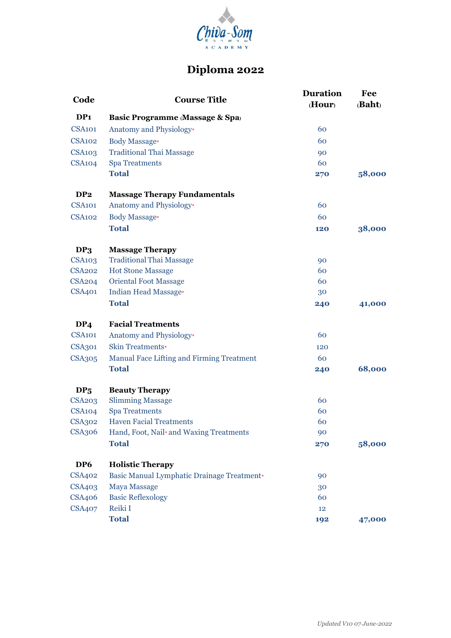

## **Diploma 2022**

| Code               | <b>Course Title</b>                        | <b>Duration</b><br>(Hour) | Fee<br>(Baht) |
|--------------------|--------------------------------------------|---------------------------|---------------|
| DP <sub>1</sub>    | <b>Basic Programme (Massage &amp; Spa)</b> |                           |               |
| <b>CSA101</b>      | Anatomy and Physiology*                    | 60                        |               |
| <b>CSA102</b>      | <b>Body Massage*</b>                       | 60                        |               |
| <b>CSA103</b>      | <b>Traditional Thai Massage</b>            | 90                        |               |
| CSA <sub>104</sub> | <b>Spa Treatments</b>                      | 60                        |               |
|                    | <b>Total</b>                               | 270                       | 58,000        |
| DP <sub>2</sub>    | <b>Massage Therapy Fundamentals</b>        |                           |               |
| <b>CSA101</b>      | Anatomy and Physiology*                    | 60                        |               |
| <b>CSA102</b>      | <b>Body Massage*</b>                       | 60                        |               |
|                    | <b>Total</b>                               | 120                       | 38,000        |
| DP <sub>3</sub>    | <b>Massage Therapy</b>                     |                           |               |
| <b>CSA103</b>      | <b>Traditional Thai Massage</b>            | 90                        |               |
| <b>CSA202</b>      | <b>Hot Stone Massage</b>                   | 60                        |               |
| <b>CSA204</b>      | <b>Oriental Foot Massage</b>               | 60                        |               |
| <b>CSA401</b>      | Indian Head Massage*                       | 30                        |               |
|                    | <b>Total</b>                               | 240                       | 41,000        |
| DP <sub>4</sub>    | <b>Facial Treatments</b>                   |                           |               |
| CSA <sub>101</sub> | Anatomy and Physiology*                    | 60                        |               |
| <b>CSA301</b>      | <b>Skin Treatments*</b>                    | 120                       |               |
| <b>CSA305</b>      | Manual Face Lifting and Firming Treatment  | 60                        |               |
|                    | <b>Total</b>                               | 240                       | 68,000        |
| DP <sub>5</sub>    | <b>Beauty Therapy</b>                      |                           |               |
| <b>CSA203</b>      | <b>Slimming Massage</b>                    | 60                        |               |
| CSA <sub>104</sub> | <b>Spa Treatments</b>                      | 60                        |               |
| <b>CSA302</b>      | <b>Haven Facial Treatments</b>             | 60                        |               |
| <b>CSA306</b>      | Hand, Foot, Nail* and Waxing Treatments    | 90                        |               |
|                    | <b>Total</b>                               | 270                       | 58,000        |
| DP <sub>6</sub>    | <b>Holistic Therapy</b>                    |                           |               |
| <b>CSA402</b>      | Basic Manual Lymphatic Drainage Treatment* | 90                        |               |
| <b>CSA403</b>      | <b>Maya Massage</b>                        | 30                        |               |
| <b>CSA406</b>      | <b>Basic Reflexology</b>                   | 60                        |               |
| <b>CSA407</b>      | Reiki I                                    | 12                        |               |
|                    | <b>Total</b>                               | 192                       | 47,000        |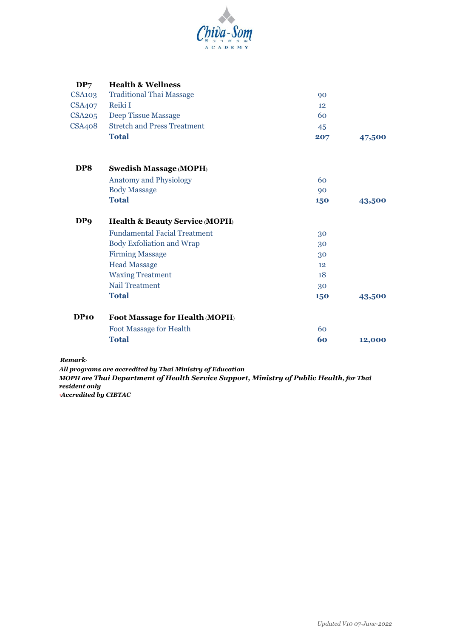

| DP <sub>7</sub> | <b>Health &amp; Wellness</b>              |     |        |
|-----------------|-------------------------------------------|-----|--------|
| CSA103          | <b>Traditional Thai Massage</b>           | 90  |        |
| <b>CSA407</b>   | Reiki I                                   | 12  |        |
| CSA205          | Deep Tissue Massage                       | 60  |        |
| <b>CSA408</b>   | <b>Stretch and Press Treatment</b>        | 45  |        |
|                 | <b>Total</b>                              | 207 | 47,500 |
| DP8             | <b>Swedish Massage (MOPH)</b>             |     |        |
|                 | <b>Anatomy and Physiology</b>             | 60  |        |
|                 | <b>Body Massage</b>                       | 90  |        |
|                 | <b>Total</b>                              | 150 | 43,500 |
| DP <sub>9</sub> | <b>Health &amp; Beauty Service (MOPH)</b> |     |        |
|                 | <b>Fundamental Facial Treatment</b>       | 30  |        |
|                 | <b>Body Exfoliation and Wrap</b>          | 30  |        |
|                 | <b>Firming Massage</b>                    | 30  |        |
|                 | <b>Head Massage</b>                       | 12  |        |
|                 | <b>Waxing Treatment</b>                   | 18  |        |
|                 | <b>Nail Treatment</b>                     | 30  |        |
|                 | <b>Total</b>                              | 150 | 43,500 |
| DP10            | Foot Massage for Health (MOPH)            |     |        |
|                 | <b>Foot Massage for Health</b>            | 60  |        |
|                 | <b>Total</b>                              | 60  | 12,000 |
|                 |                                           |     |        |

#### *Remark:*

*All programs are accredited by Thai Ministry of Education MOPH are Thai Department of Health Service Support, Ministry of Public Health, for Thai resident only \*Accredited by CIBTAC*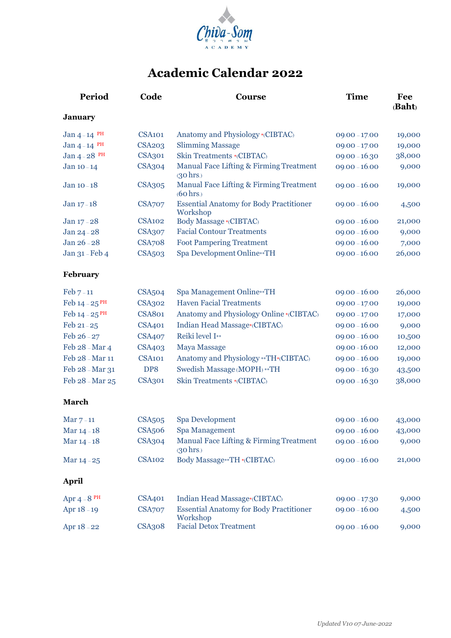

## **Academic Calendar 2022**

| Period                      | Code               | <b>Course</b>                                                  | <b>Time</b>     | Fee<br>(Baht) |
|-----------------------------|--------------------|----------------------------------------------------------------|-----------------|---------------|
| <b>January</b>              |                    |                                                                |                 |               |
| Jan $4-14$ PH               | CSA <sub>101</sub> | Anatomy and Physiology *(CIBTAC)                               | $09.00 - 17.00$ | 19,000        |
| Jan $4-14$ PH               | <b>CSA203</b>      | <b>Slimming Massage</b>                                        | $09.00 - 17.00$ | 19,000        |
| Jan $4 - 28$ <sup>PH</sup>  | <b>CSA301</b>      | Skin Treatments *(CIBTAC)                                      | $09.00 - 16.30$ | 38,000        |
| Jan 10-14                   | <b>CSA304</b>      | Manual Face Lifting & Firming Treatment<br>$(30 \text{ hrs.})$ | $09.00 - 16.00$ | 9,000         |
| Jan 10-18                   | <b>CSA305</b>      | Manual Face Lifting & Firming Treatment<br>(60 hrs.)           | $09.00 - 16.00$ | 19,000        |
| Jan $17 - 18$               | <b>CSA707</b>      | <b>Essential Anatomy for Body Practitioner</b><br>Workshop     | $09.00 - 16.00$ | 4,500         |
| Jan 17 - 28                 | <b>CSA102</b>      | Body Massage *(CIBTAC)                                         | $09.00 - 16.00$ | 21,000        |
| Jan 24-28                   | <b>CSA307</b>      | <b>Facial Contour Treatments</b>                               | $09.00 - 16.00$ | 9,000         |
| Jan 26 - 28                 | <b>CSA708</b>      | <b>Foot Pampering Treatment</b>                                | $09.00 - 16.00$ | 7,000         |
| Jan 31 - Feb 4              | <b>CSA503</b>      | Spa Development Online**TH                                     | $09.00 - 16.00$ | 26,000        |
| February                    |                    |                                                                |                 |               |
| Feb $7-11$                  | <b>CSA504</b>      | Spa Management Online**TH                                      | $09.00 - 16.00$ | 26,000        |
| Feb $14 - 25$ <sup>PH</sup> | <b>CSA302</b>      | <b>Haven Facial Treatments</b>                                 | $09.00 - 17.00$ | 19,000        |
| Feb 14 - 25 PH              | <b>CSA801</b>      | Anatomy and Physiology Online * (CIBTAC)                       | $09.00 - 17.00$ | 17,000        |
| Feb $21 - 25$               | <b>CSA401</b>      | Indian Head Massage*(CIBTAC)                                   | $09.00 - 16.00$ | 9,000         |
| Feb 26 - 27                 | <b>CSA407</b>      | Reiki level I**                                                | $09.00 - 16.00$ | 10,500        |
| Feb 28 - Mar 4              | <b>CSA403</b>      | <b>Maya Massage</b>                                            | 09.00 - 16.00   | 12,000        |
| Feb 28 - Mar 11             | <b>CSA101</b>      | Anatomy and Physiology ** TH*(CIBTAC)                          | $09.00 - 16.00$ | 19,000        |
| Feb 28 - Mar 31             | DP8                | Swedish Massage (MOPH) ** TH                                   | $09.00 - 16.30$ | 43,500        |
| Feb 28 - Mar 25             | <b>CSA301</b>      | Skin Treatments *(CIBTAC)                                      | $09.00 - 16.30$ | 38,000        |
| March                       |                    |                                                                |                 |               |
| Mar $7-11$                  | <b>CSA505</b>      | Spa Development                                                | $09.00 - 16.00$ | 43,000        |
| Mar 14 - 18                 | <b>CSA506</b>      | Spa Management                                                 | $09.00 - 16.00$ | 43,000        |
| Mar $14 - 18$               | CSA <sub>304</sub> | Manual Face Lifting & Firming Treatment<br>$(30 \text{ hrs.})$ | $09.00 - 16.00$ | 9,000         |
| Mar $14 - 25$               | <b>CSA102</b>      | Body Massage ** TH *(CIBTAC)                                   | $09.00 - 16.00$ | 21,000        |
| <b>April</b>                |                    |                                                                |                 |               |
| Apr $4-8$ PH                | <b>CSA401</b>      | Indian Head Massage*(CIBTAC)                                   | $09.00 - 17.30$ | 9,000         |
| Apr 18 - 19                 | <b>CSA707</b>      | <b>Essential Anatomy for Body Practitioner</b><br>Workshop     | $09.00 - 16.00$ | 4,500         |
| Apr 18 - 22                 | <b>CSA308</b>      | <b>Facial Detox Treatment</b>                                  | $09.00 - 16.00$ | 9,000         |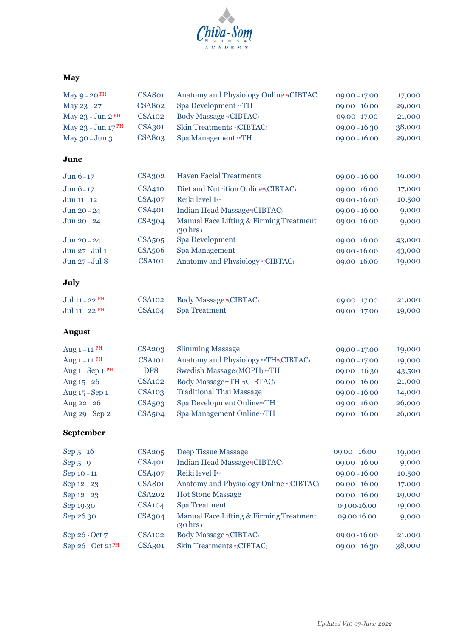

### **May**

| May $9 - 20$ <sup>PH</sup>    | <b>CSA801</b>      | Anatomy and Physiology Online *(CIBTAC)<br>$09.00 - 17.00$     |                 | 17,000 |
|-------------------------------|--------------------|----------------------------------------------------------------|-----------------|--------|
| May 23 - 27                   | <b>CSA802</b>      | Spa Development ** TH<br>$09.00 - 16.00$                       |                 | 29,000 |
| May $23 - Jun 2PH$            | <b>CSA102</b>      | Body Massage *(CIBTAC)<br>09.00 - 17.00                        |                 | 21,000 |
| May 23 - Jun 17 <sup>PH</sup> | <b>CSA301</b>      | Skin Treatments *(CIBTAC)<br>$09.00 - 16.30$                   |                 | 38,000 |
| May 30 - Jun 3                | <b>CSA803</b>      | Spa Management ** TH                                           | $09.00 - 16.00$ | 29,000 |
| June                          |                    |                                                                |                 |        |
| Jun $6-17$                    | CSA302             | <b>Haven Facial Treatments</b>                                 | $09.00 - 16.00$ | 19,000 |
| Jun 6-17                      | <b>CSA410</b>      | Diet and Nutrition Online*(CIBTAC)                             | 09.00 - 16.00   | 17,000 |
| Jun 11-12                     | <b>CSA407</b>      | Reiki level I**                                                | 09.00 - 16.00   | 10,500 |
| Jun 20 - 24                   | <b>CSA401</b>      | Indian Head Massage*(CIBTAC)                                   | $09.00 - 16.00$ | 9,000  |
| Jun 20 - 24                   | <b>CSA304</b>      | Manual Face Lifting & Firming Treatment<br>$(30 \text{ hrs.})$ | 09.00 - 16.00   | 9,000  |
| Jun 20 - 24                   | <b>CSA505</b>      | Spa Development                                                | 09.00 - 16.00   | 43,000 |
| Jun 27-Jul 1                  | <b>CSA506</b>      | <b>Spa Management</b>                                          | 09.00 - 16.00   | 43,000 |
| Jun 27-Jul 8                  | <b>CSA101</b>      | Anatomy and Physiology *(CIBTAC)                               | 09.00 - 16.00   | 19,000 |
| July                          |                    |                                                                |                 |        |
| Jul 11 - 22 PH                | <b>CSA102</b>      | Body Massage *(CIBTAC)                                         | 09.00 - 17.00   | 21,000 |
| Jul 11 - 22 PH                | <b>CSA104</b>      | <b>Spa Treatment</b>                                           | $09.00 - 17.00$ | 19,000 |
| <b>August</b>                 |                    |                                                                |                 |        |
| Aug $1 - 11$ PH               | <b>CSA203</b>      | <b>Slimming Massage</b>                                        | $09.00 - 17.00$ | 19,000 |
| Aug $1 - 11$ <sup>PH</sup>    | <b>CSA101</b>      | Anatomy and Physiology ** TH*(CIBTAC)                          | $09.00 - 17.00$ | 19,000 |
| Aug 1 - Sep 1 PH              | DP8                | Swedish Massage (MOPH) ** TH                                   | $09.00 - 16.30$ | 43,500 |
| Aug 15 - 26                   | <b>CSA102</b>      | Body Massage**TH *(CIBTAC)                                     | $09.00 - 16.00$ | 21,000 |
| Aug 15 - Sep 1                | <b>CSA103</b>      | <b>Traditional Thai Massage</b>                                | $09.00 - 16.00$ | 14,000 |
| Aug 22 - 26                   | <b>CSA503</b>      | Spa Development Online**TH                                     | $09.00 - 16.00$ | 26,000 |
| Aug 29 - Sep 2                | <b>CSA504</b>      | Spa Management Online**TH                                      | $09.00 - 16.00$ | 26,000 |
| September                     |                    |                                                                |                 |        |
| Sep $5 - 16$                  | <b>CSA205</b>      | <b>Deep Tissue Massage</b>                                     | $09.00 - 16.00$ | 19,000 |
| Sep $5-9$                     | CSA401             | Indian Head Massage*(CIBTAC)                                   | $09.00 - 16.00$ | 9,000  |
| Sep 10 - 11                   | <b>CSA407</b>      | Reiki level I**                                                | $09.00 - 16.00$ | 10,500 |
| Sep 12 - 23                   | <b>CSA801</b>      | Anatomy and Physiology Online *(CIBTAC)                        | $09.00 - 16.00$ | 17,000 |
| Sep 12 - 23                   | <b>CSA202</b>      | <b>Hot Stone Massage</b>                                       | $09.00 - 16.00$ | 19,000 |
| Sep 19-30                     | CSA <sub>104</sub> | <b>Spa Treatment</b>                                           | 09.00-16.00     | 19,000 |
| Sep 26-30                     | <b>CSA304</b>      | Manual Face Lifting & Firming Treatment<br>(30 hrs.)           | 09.00-16.00     | 9,000  |
| Sep 26 - Oct 7                | <b>CSA102</b>      | Body Massage *(CIBTAC)                                         | 09.00 - 16.00   | 21,000 |
| Sep 26 - Oct 21PH             | <b>CSA301</b>      | Skin Treatments *(CIBTAC)<br>$09.00 - 16.30$                   |                 | 38,000 |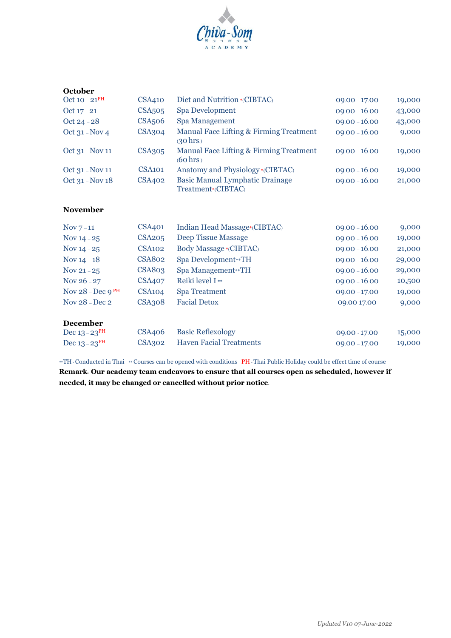

| <b>October</b>             |                          |                                                                |                 |        |
|----------------------------|--------------------------|----------------------------------------------------------------|-----------------|--------|
| Oct 10 $-21$ <sup>PH</sup> | CSA410                   | Diet and Nutrition *(CIBTAC)                                   | $09.00 - 17.00$ | 19,000 |
| Oct 17 - 21                | <b>CSA<sub>505</sub></b> | Spa Development                                                | $09.00 - 16.00$ | 43,000 |
| Oct 24 - $28$              | CSA <sub>506</sub>       | Spa Management                                                 | $09.00 - 16.00$ | 43,000 |
| Oct $31 - Nov 4$           | CSA304                   | Manual Face Lifting & Firming Treatment<br>$(30 \text{ hrs.})$ | $09.00 - 16.00$ | 9,000  |
| Oct 31 - Nov 11            | <b>CSA305</b>            | Manual Face Lifting & Firming Treatment<br>$(60 \text{ hrs.})$ | $09.00 - 16.00$ | 19,000 |
| Oct 31 - Nov 11            | CSA <sub>101</sub>       | Anatomy and Physiology *(CIBTAC)                               | $09.00 - 16.00$ | 19,000 |
| Oct $31 - Nov 18$          | CSA402                   | <b>Basic Manual Lymphatic Drainage</b><br>Treatment*(CIBTAC)   | $09.00 - 16.00$ | 21,000 |

### **November**

| Nov $7-11$                       | CSA401             | Indian Head Massage*(CIBTAC)   | $09.00 - 16.00$ | 9,000  |
|----------------------------------|--------------------|--------------------------------|-----------------|--------|
| Nov $14 - 25$                    | <b>CSA205</b>      | Deep Tissue Massage            | $09.00 - 16.00$ | 19,000 |
| Nov $14 - 25$                    | CSA <sub>102</sub> | Body Massage *(CIBTAC)         | $09.00 - 16.00$ | 21,000 |
| Nov $14 - 18$                    | <b>CSA802</b>      | Spa Development**TH            | $09.00 - 16.00$ | 29,000 |
| Nov 21 - $25$                    | <b>CSA803</b>      | Spa Management**TH             | $09.00 - 16.00$ | 29,000 |
| Nov $26 - 27$                    | <b>CSA407</b>      | Reiki level $I^*$              | $09.00 - 16.00$ | 10,500 |
| Nov $28 - Dec$ $9$ <sup>PH</sup> | CSA <sub>104</sub> | <b>Spa Treatment</b>           | $09.00 - 17.00$ | 19,000 |
| Nov $28 - Dec\ 2$                | CSA308             | <b>Facial Detox</b>            | 09.00-17.00     | 9,000  |
| <b>December</b>                  |                    |                                |                 |        |
| Dec $13 - 23$ <sup>PH</sup>      | <b>CSA406</b>      | <b>Basic Reflexology</b>       | 09.00 - 17.00   | 15,000 |
| Dec $13 - 23$ <sup>PH</sup>      | <b>CSA302</b>      | <b>Haven Facial Treatments</b> | $09.00 - 17.00$ | 19,000 |

\*\*TH - Conducted in Thai \*\* Courses can be opened with conditions PH - Thai Public Holiday could be effect time of course

**Remark: Our academy team endeavors to ensure that all courses open as scheduled, however if needed, it may be changed or cancelled without prior notice.**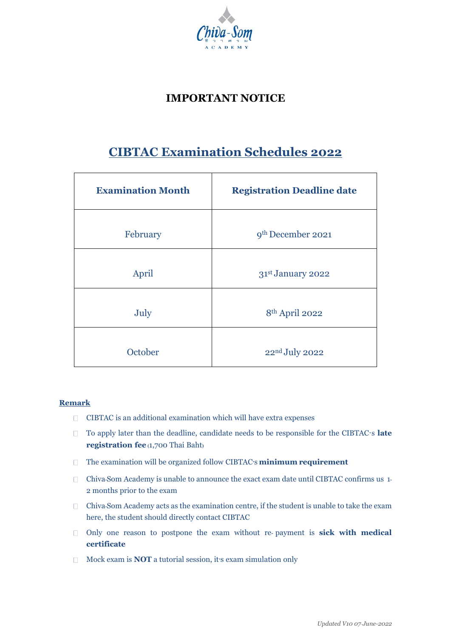

### **IMPORTANT NOTICE**

## **CIBTAC Examination Schedules 2022**

| <b>Examination Month</b> | <b>Registration Deadline date</b> |
|--------------------------|-----------------------------------|
| February                 | 9 <sup>th</sup> December 2021     |
| April                    | 31st January 2022                 |
| July                     | 8 <sup>th</sup> April 2022        |
| October                  | 22nd July 2022                    |

### **Remark**

- CIBTAC is an additional examination which will have extra expenses
- □ To apply later than the deadline, candidate needs to be responsible for the CIBTAC<sup>*'s*</sup> late</sup> **registration fee (**1,700 Thai Baht**)**
- The examination will be organized follow CIBTAC**'**s **minimum requirement**
- Chiva**-**Som Academy is unable to announce the exact exam date until CIBTAC confirms us 1**-** 2 months prior to the exam
- Chiva**-**Som Academy acts as the examination centre, if the student is unable to take the exam here, the student should directly contact CIBTAC
- Only one reason to postpone the exam without re**-** payment is **sick with medical certificate**
- Mock exam is **NOT** a tutorial session, it**'**s exam simulation only